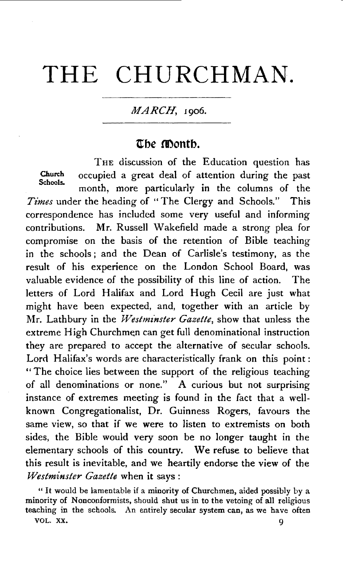# **THE CHURCHMAN.**

## MARCH, 1906.

## $\overline{a}$  be **month**.

THE discussion of the Education question has Church occupied a great deal of attention during the past Schools. month, more particularly in the columns of the *Times* under the heading of "The Clergy and Schools." This correspondence has included some very useful and informing contributions. Mr. Russell Wakefield made a strong plea for compromise on the basis of the retention of Bible teaching in the schools ; and the Dean of Carlisle's testimony, as the result of his experience on the London School Board, was valuable evidence of the possibility of this line of action. The letters of Lord Halifax and Lord Hugh Cecil are just what might have been expected, and, together with an article by Mr. Lathbury in the *Westminster Gazette*, show that unless the extreme High Churchmen can get full denominational instruction they are prepared to accept the alternative of secular schools. Lord Halifax's words are characteristically frank on this point: " The choice lies between the support of the religious teaching of all denominations or none." A curious but not surprising instance of extremes meeting is found in the fact that a wellknown Congregationalist, Dr. Guinness Rogers, favours the same view, so that if we were to listen to extremists on both sides, the Bible would very soon be no longer taught in the elementary schools of this country. We refuse to believe that this result is inevitable, and we heartily endorse the view of the *Westminster Gazette* when it says :

" It would be lamentable if a minority of Churchmen, aided possibly by a minority of Nonconformists, should shut us in to the vetoing of all religious teaching in the schools. An entirely secular system can, as we have often VOL. XX. 9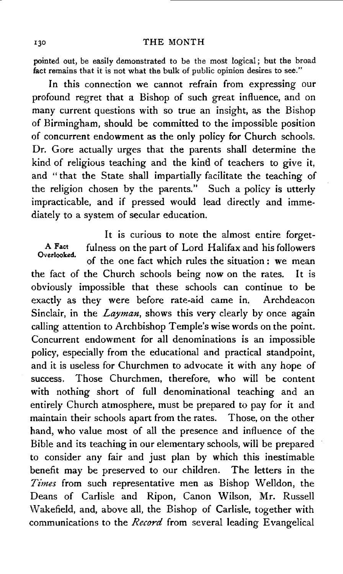### 130 THE MONTH

pointed out, be easily demonstrated to be the most logical; but the broad fact remains that it is not what the bulk of public opinion desires to see."

In this connection we cannot refrain from expressing our profound regret that a Bishop of such great influence, and on many current questions with so true an insight, as the Bishop of Birmingham, should be committed to the impossible position of concurrent endowment as the only policy for Church schools. Dr. Gore actually urges that the parents shall determine the kind of religious teaching and the kind of teachers to give it, and "that the State shall impartially facilitate the teaching of the religion chosen by the parents." Such a policy is utterly impracticable, and if pressed would lead directly and immediately to a system of secular education.

It is curious to note the almost entire forget-A Fact fulness on the part of Lord Halifax and his followers of the one fact which rules the situation : we mean the fact of the Church schools being now on the rates. It is obviously impossible that these schools can continue to be exactly as they were before rate-aid came in. Archdeacon Sinclair, in the *Layman,* shows this very clearly by once again calling attention to Archbishop Temple's wise words on the point. Concurrent endowment for all denominations is an impossible policy, especially from the educational and practical standpoint, and it is useless for Churchmen to advocate it with any hope of success. Those Churchmen, therefore, who will be content with nothing short of full denominational teaching and an entirely Church atmosphere, must be prepared to pay for it and maintain their schools apart from the rates. Those, on the other hand, who value most of all the presence and influence of the Bible and its teaching in our elementary schools, will be prepared to consider any fair and just plan by which this inestimable benefit may be preserved to our children. The letters in the Times from such representative men as Bishop Welldon, the Deans of Carlisle and Ripon, Canon Wilson, Mr. Russell \Vakefield, and, above all, the Bishop of Carlisle, together with communications to the *Record* from several leading Evangelical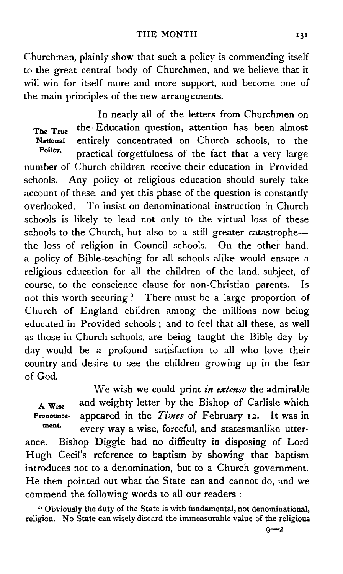Churchmen, plainly show that such a policy is commending itself to the great central body of Churchmen, and we believe that it will win for itself more and more support, and become one of the main principles of the new arrangements.

In nearly all of the letters from Churchmen on The True the Education question, attention has been almost National entirely concentrated on Church schools, to the<br>Policy, appealing formation of the fact that a same large practical forgetfulness of the fact that a very large number of Church children receive their education in Provided schools. Any policy of religious education should surely take account of these, and yet this phase of the question is constantly overlooked. To insist on denominational instruction in Church schools is likely to lead not only to the virtual loss of these schools to the Church, but also to a still greater catastrophethe loss of religion in Council schools. On the other hand, a policy of Bible-teaching for all schools alike would ensure a religious education for all the children of the land, subject, of course, to the conscience clause for non~Christian parents. Is not this worth securing ? There must be a large proportion of Church of England children among the millions now being educated in Provided schools *;* and to feel that all these, as well as those in Church schools, are being taught the Bible day by day would be a profound satisfaction to all who love their country and desire to see the children growing up in the fear of God.

We wish we could print *in extenso* the admirable A Wise and weighty letter by the Bishop of Carlisle which Pronounce- appeared in the *Times* of February 12. It was in every way a wise, forceful, and statesmanlike utterance. Bishop Diggle had no difficulty in disposing of Lord Hugh Cecil's reference to baptism by showing that baptism introduces not to a denomination, but to a Church government. He then pointed out what the State can and cannot do, and we

commend the following words to all our readers:

"Obviously the duty of the State is with fundamental, not denominational, religion. No State can wisely discard the immeasurable value of the religious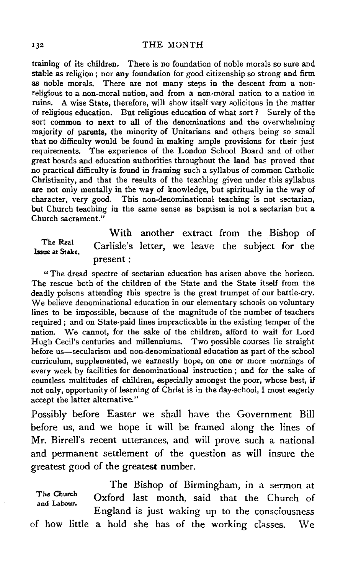training of its children. There is no foundation of noble morals so sure and stable as religion ; nor any foundation for good citizenship so strong and firm as noble morals. There are not many steps in the descent from a nonreligious to a non-moral nation, and from a non-moral nation to a nation in ruins. A wise State, therefore, will show itself very solicitous in the matter of religious education. But religious education of what sort? Surely of the sort common to next to all of the denominations and the overwhelming majority of parents, the minority of Unitarians and others being so small that no difficulty would be found in making ample provisions for their just requirements. The experience of the London School Board and of other great boards and education authorities throughout the land has proved that no practical difficulty is found in framing such a syllabus of common Catholic Christianity, and that the results of the teaching given under this syllabus are not only mentally in the way of knowledge, but spiritually in the way of character, very good. This non-denominational teaching is not sectarian, but Church teaching in the same sense as baptism is not a sectarian but a Church sacrament."

The Real Issue at Stake. With another extract from the Bishop of Carlisle's letter, we leave the subject for the present:

" The dread spectre of sectarian education has arisen above the horizon. The rescue both of the children of the State and the State itself from the deadly poisons attending this spectre is the great trumpet of our battle-cry. We believe denominational education in our elementary schools on voluntary lines to be impossible, because of the magnitude of the number of teachers required; and on State-paid lines impracticable in the existing temper of the nation. We cannot, for the sake of the children, afford to wait for Lord Hugh Cecil's centuries and millenniums. Two possible courses lie straight before us-secularism and non-denominational education as part of the school curriculum, supplemented, we earnestly hope, on one or more mornings of every week by facilities for denominational instruction ; and for the sake of countless multitudes of children, especially amongst the poor, whose best, if not only, opportunity of learning of Christ is in the day-school, I most eagerly accept the latter alternative."

Possibly before Easter we shall have the Government Bill before us, and we hope it will be framed along the lines of Mr. Birrell's recent utterances, and will prove such a national and permanent settlement of the question as will insure the greatest good of the greatest number.

The Bishop of Birmingham, in a sermon at Oxford last month, said that the Church of England is just waking up to the consciousness of how little a hold she has of the working classes. \Ve The Church and Labour.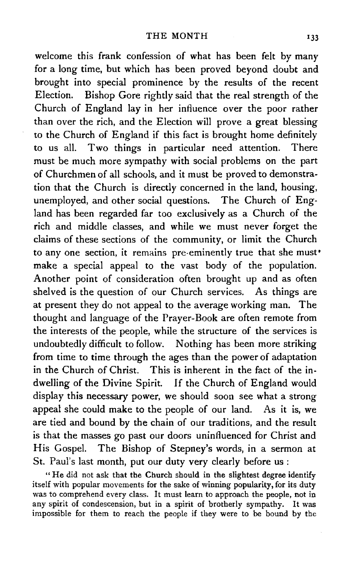welcome this frank confession of what has been felt by many for a long time, but which has been proved beyond doubt and brought into special prominence by the results of the recent Election. Bishop Gore rightly said that the real strength of the Church of England lay in her influence over the poor rather than over the rich, and the Election will prove a great blessing to the Church of England if this fact is brought home definitely to us all. Two things in particular need attention. There must be much more sympathy with social problems on the part of Churchmen of all schools, and it must be proved to demonstration that the Church is directly concerned in the land, housing, unemployed, and other social questions. The Church of England has been regarded far too exclusively as a Church of the rich and middle classes, and while we must never forget the claims of these sections of the community, or limit the Church to any one section, it remains pre-eminently true that she must<sup>\*</sup> make a special appeal to the vast body of the population. Another point of consideration often brought up and as often shelved is the question of our Church services. As things are at present they do not appeal to the average working man. The thought and language of the Prayer-Book are often remote from the interests of the people, while the structure of the services is undoubtedly difficult to follow. Nothing has been more striking from time to time through the ages than the power of adaptation in the Church of Christ. This is inherent in the fact of the indwelling of the Divine Spirit. If the Church of England would display this necessary power, we should soon see what a strong appeal she could make to the people of our land. As it is, we are tied and bound by the chain of our traditions, and the result is that the masses go past our doors uninfluenced for Christ and His Gospel. The Bishop of Stepney's words, in a sermon at St. Paul's last month, put our duty very clearly before us:

" He did not ask that the Church should in the slightest degree identify itself with popular movements for the sake of winning popularity, for its duty was to comprehend every class. It must learn to approach the people, not in any spirit of condescension, but in a spirit of brotherly sympathy. It was impossible for them to reach the people if they were to be bound by the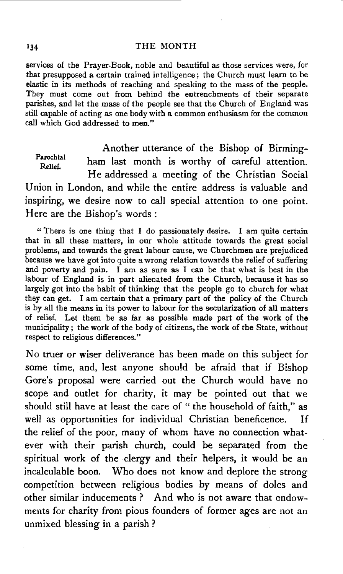#### 134 THE MONTH

services of the Prayer-Book, noble and beautiful as those services were, for that presupposed a certain trained intelligence; the Church must learn to be elastic in its methods of reaching and speaking to the mass of the people. They must come out from behind the entrenchments of their separate parishes, and let the mass of the people see that the Church of England was still capable of acting as one body with a common enthusiasm for the common call which God addressed to men."

Parochial Relief. Another utterance of the Bishop of Birmingham last month is worthy of careful attention. He addressed a meeting of the Christian Social Union in London, and while the entire address is valuable and inspiring, we desire now to call special attention to one point. Here are the Bishop's words:

" There is one thing that I do passionately desire. I am quite certain that in all these matters, in our whole attitude towards the great social problems, and towards the great labour cause, we Churchmen are prejudiced because we have got into quite a wrong relation towards the relief of suffering and poverty and pain. I am as sure as I can be that what is best in the labour of England is in part alienated from the Church, because it has so largely got into the habit of thinking that the people go to church for what they can get. I am certain that a primary part of the policy of the Church is by all the means in its power to labour for the secularization of all matters of relief. Let them be as far as possible made part of the work of the municipality; the work of the body of citizens, the work of the State, without respect to religious differences."

No truer or wiser deliverance has been made on this subject for some time, and, lest anyone should be afraid that if Bishop Gore's proposal were carried out the Church would have no scope and outlet for charity, it may be pointed out that we should still have at least the care of " the household of faith," as well as opportunities for individual Christian beneficence. If the relief of the poor, many of whom have no connection whatever with their parish church, could be separated from the spiritual work of the clergy and their helpers, it would be an incalculable boon. Who does not know and deplore the strong competition between religious bodies by means of doles and other similar inducements ? And who is not aware that endowments for charity from pious founders of former ages are not an unmixed blessing in a parish ?